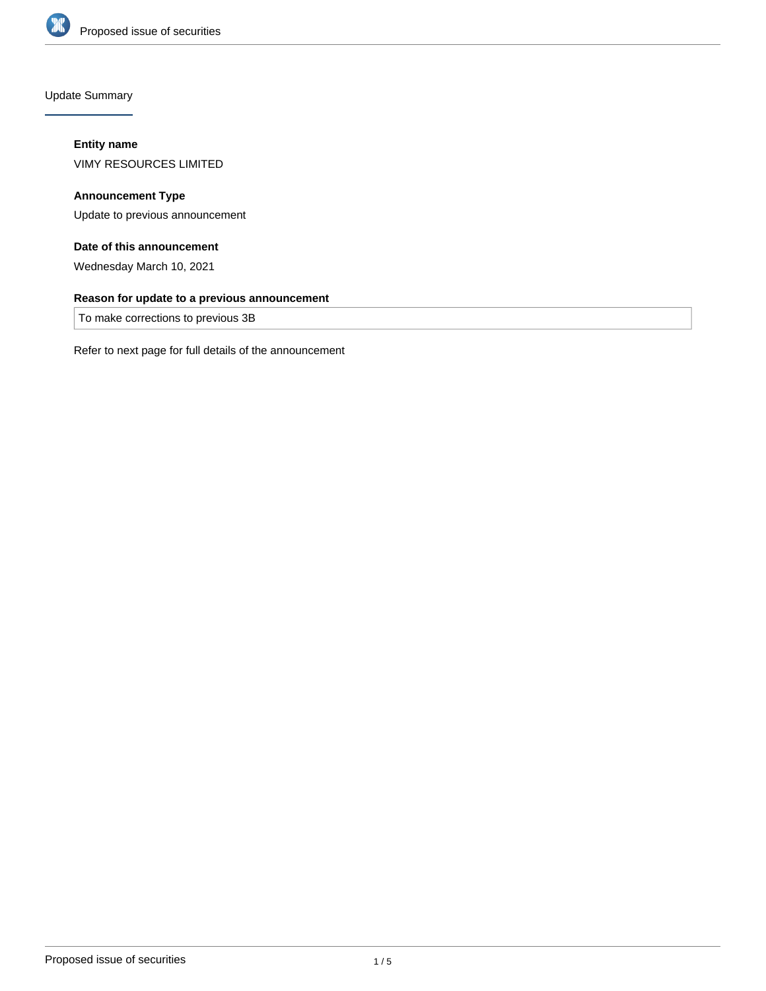

Update Summary

# **Entity name**

VIMY RESOURCES LIMITED

# **Announcement Type**

Update to previous announcement

# **Date of this announcement**

Wednesday March 10, 2021

## **Reason for update to a previous announcement**

To make corrections to previous 3B

Refer to next page for full details of the announcement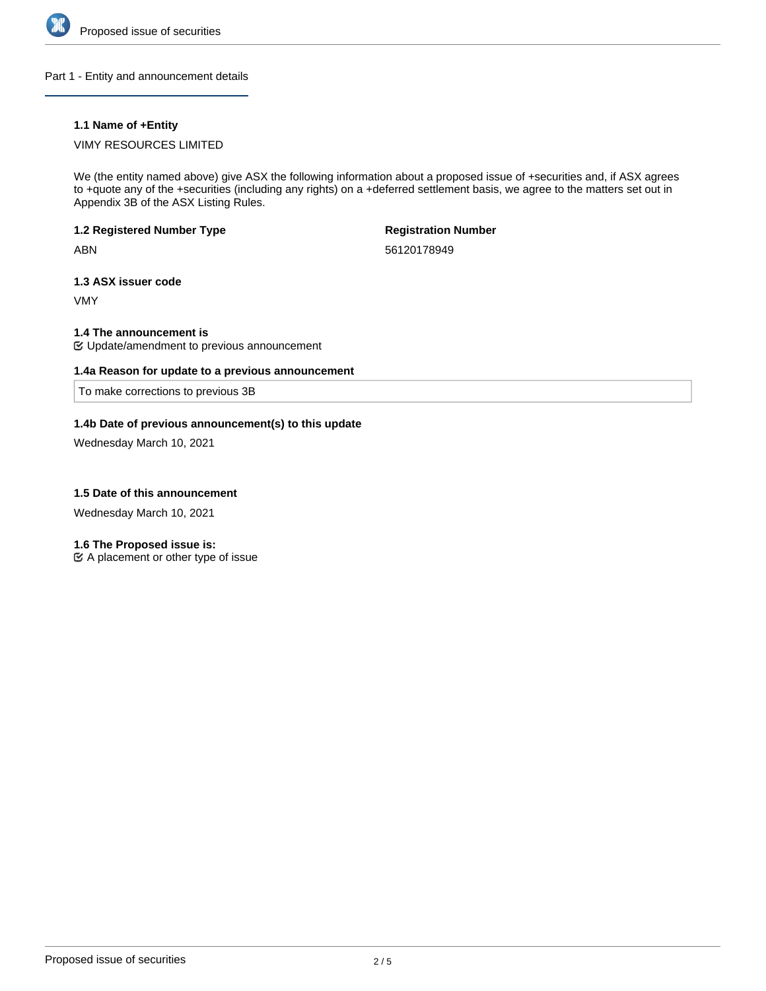

Part 1 - Entity and announcement details

# **1.1 Name of +Entity**

# VIMY RESOURCES LIMITED

We (the entity named above) give ASX the following information about a proposed issue of +securities and, if ASX agrees to +quote any of the +securities (including any rights) on a +deferred settlement basis, we agree to the matters set out in Appendix 3B of the ASX Listing Rules.

### **1.2 Registered Number Type**

ABN

**Registration Number**

56120178949

## **1.3 ASX issuer code**

VMY

# **1.4 The announcement is**

Update/amendment to previous announcement

## **1.4a Reason for update to a previous announcement**

To make corrections to previous 3B

## **1.4b Date of previous announcement(s) to this update**

Wednesday March 10, 2021

### **1.5 Date of this announcement**

Wednesday March 10, 2021

### **1.6 The Proposed issue is:**

 $\mathfrak{C}$  A placement or other type of issue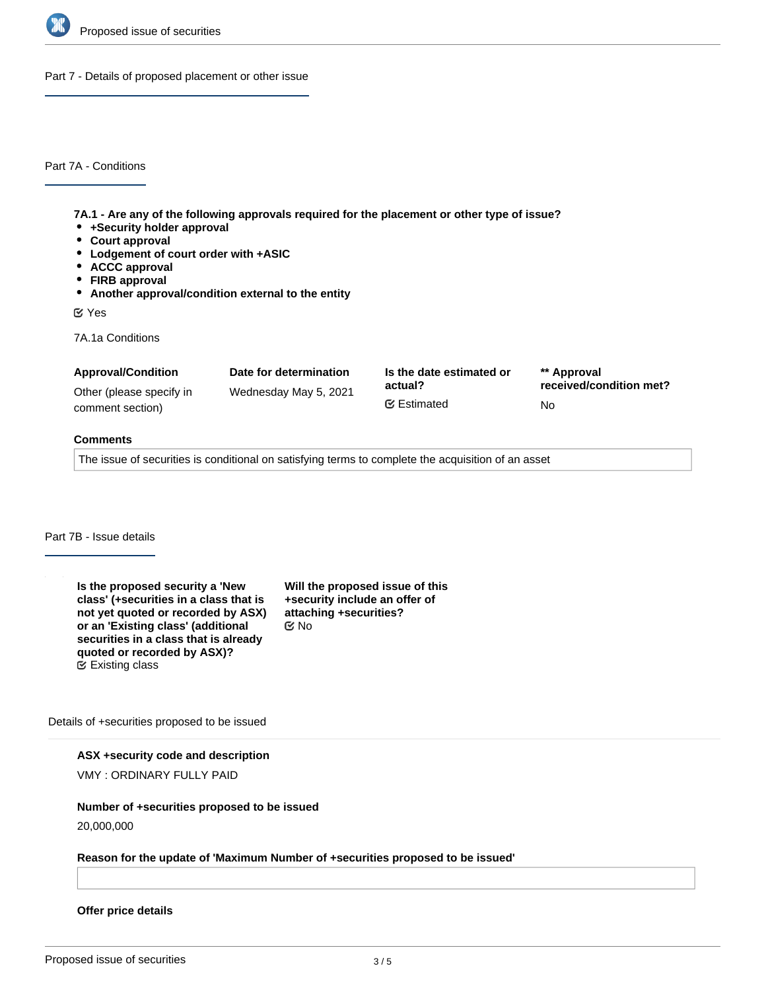

Part 7 - Details of proposed placement or other issue

Part 7A - Conditions

**7A.1 - Are any of the following approvals required for the placement or other type of issue?**

- **+Security holder approval**
- **Court approval**
- **Lodgement of court order with +ASIC**
- **ACCC approval**
- **FIRB approval**
- **Another approval/condition external to the entity**

Yes

7A.1a Conditions

| <b>Approval/Condition</b> | Date for determination | Is the date estimated or | ** Approval             |
|---------------------------|------------------------|--------------------------|-------------------------|
| Other (please specify in  | Wednesday May 5, 2021  | actual?                  | received/condition met? |
| comment section)          |                        | <b></b> ■ Estimated      | No.                     |

#### **Comments**

The issue of securities is conditional on satisfying terms to complete the acquisition of an asset

# Part 7B - Issue details

**Is the proposed security a 'New class' (+securities in a class that is not yet quoted or recorded by ASX) or an 'Existing class' (additional securities in a class that is already quoted or recorded by ASX)?** Existing class

**Will the proposed issue of this +security include an offer of attaching +securities?** No

Details of +securities proposed to be issued

**ASX +security code and description**

VMY : ORDINARY FULLY PAID

### **Number of +securities proposed to be issued**

20,000,000

#### **Reason for the update of 'Maximum Number of +securities proposed to be issued'**

**Offer price details**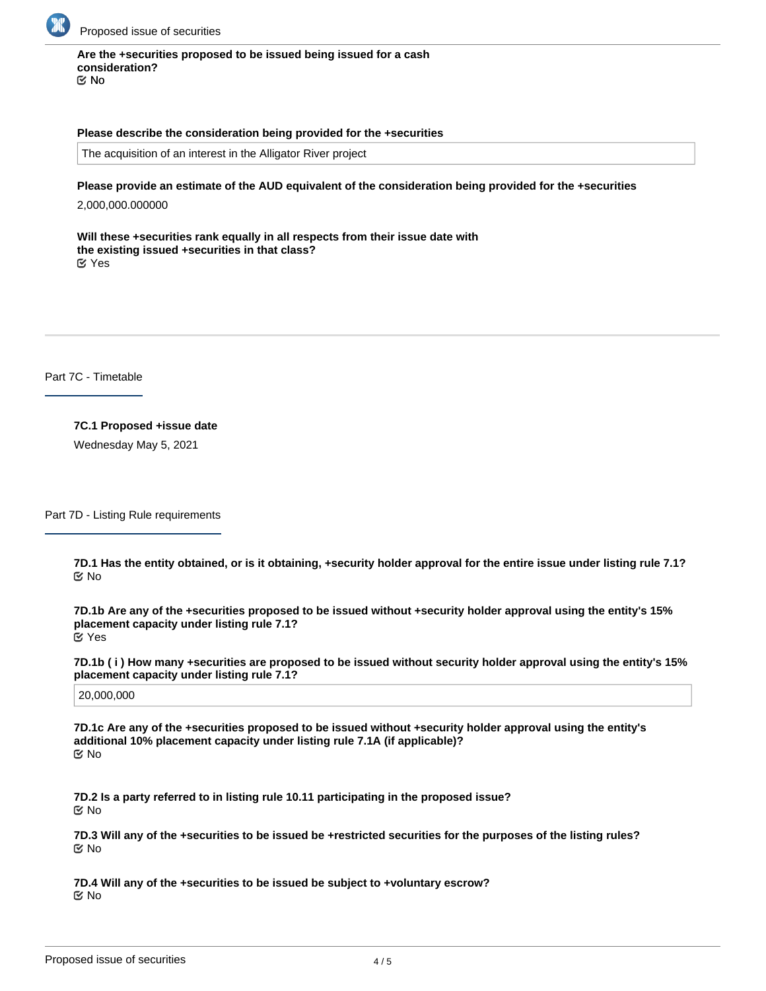

# **Are the +securities proposed to be issued being issued for a cash consideration?**

No

#### **Please describe the consideration being provided for the +securities**

The acquisition of an interest in the Alligator River project

### **Please provide an estimate of the AUD equivalent of the consideration being provided for the +securities**

2,000,000.000000

**Will these +securities rank equally in all respects from their issue date with the existing issued +securities in that class?** Yes

Part 7C - Timetable

**7C.1 Proposed +issue date** Wednesday May 5, 2021

Part 7D - Listing Rule requirements

**7D.1 Has the entity obtained, or is it obtaining, +security holder approval for the entire issue under listing rule 7.1?** No

**7D.1b Are any of the +securities proposed to be issued without +security holder approval using the entity's 15% placement capacity under listing rule 7.1?** Yes

**7D.1b ( i ) How many +securities are proposed to be issued without security holder approval using the entity's 15% placement capacity under listing rule 7.1?**

20,000,000

**7D.1c Are any of the +securities proposed to be issued without +security holder approval using the entity's additional 10% placement capacity under listing rule 7.1A (if applicable)?** No

**7D.2 Is a party referred to in listing rule 10.11 participating in the proposed issue?** No

**7D.3 Will any of the +securities to be issued be +restricted securities for the purposes of the listing rules?** No

**7D.4 Will any of the +securities to be issued be subject to +voluntary escrow?** No